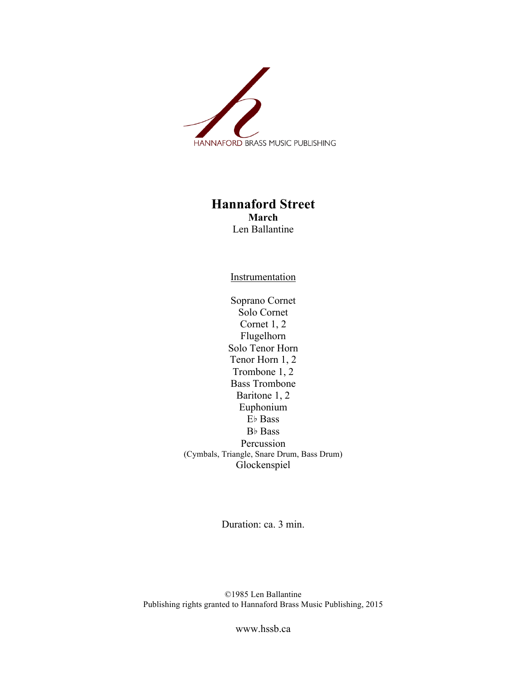

## **Hannaford Street March** Len Ballantine

**Instrumentation** 

Soprano Cornet Solo Cornet Cornet 1, 2 Flugelhorn Solo Tenor Horn Tenor Horn 1, 2 Trombone 1, 2 Bass Trombone Baritone 1, 2 Euphonium E♭ Bass B♭ Bass Percussion (Cymbals, Triangle, Snare Drum, Bass Drum) Glockenspiel

Duration: ca. 3 min.

©1985 Len Ballantine Publishing rights granted to Hannaford Brass Music Publishing, 2015

www.hssb.ca